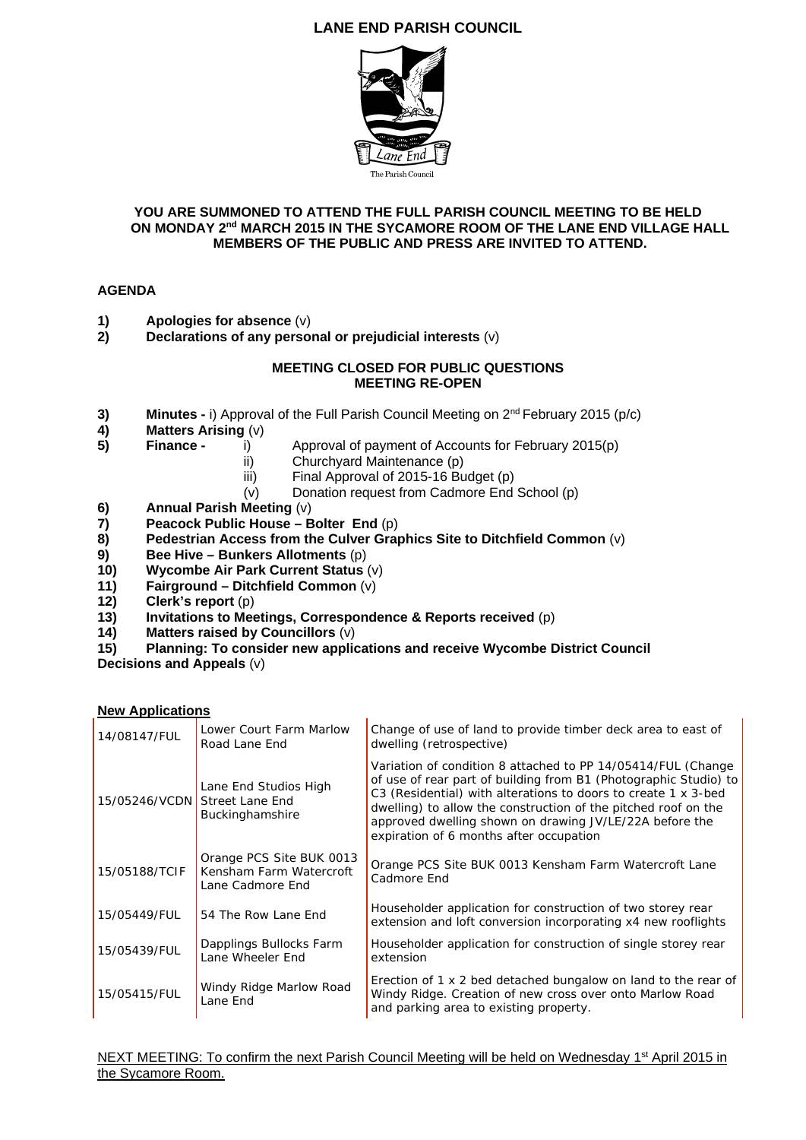## **LANE END PARISH COUNCIL**



## **YOU ARE SUMMONED TO ATTEND THE FULL PARISH COUNCIL MEETING TO BE HELD ON MONDAY 2nd MARCH 2015 IN THE SYCAMORE ROOM OF THE LANE END VILLAGE HALL MEMBERS OF THE PUBLIC AND PRESS ARE INVITED TO ATTEND.**

## **AGENDA**

- **1)** Apologies for absence (v)<br>**2)** Declarations of any perso
- **2) Declarations of any personal or prejudicial interests** (v)

## **MEETING CLOSED FOR PUBLIC QUESTIONS MEETING RE-OPEN**

- **3) Minutes -** i) Approval of the Full Parish Council Meeting on 2<sup>nd</sup> February 2015 (p/c) <br>**4) Matters Arising** (v)
- **4) Matters Arising** (v)
- **5) Finance -** i) Approval of payment of Accounts for February 2015(p)
	- ii) Churchyard Maintenance (p)
	- iii) Final Approval of 2015-16 Budget (p)
	- (v) Donation request from Cadmore End School (p)
- **6)** Annual Parish Meeting (v)<br>**7)** Peacock Public House B
- **7) Peacock Public House Bolter End** (p)
- **8) Pedestrian Access from the Culver Graphics Site to Ditchfield Common** (v)
- **9) Bee Hive Bunkers Allotments** (p)
- **10) Wycombe Air Park Current Status** (v)
- **11) Fairground Ditchfield Common** (v)
- **12) Clerk's report** (p)
- **13)** Invitations to Meetings, Correspondence & Reports received (p) **14)** Matters raised by Councillors (v)
- **14) Matters raised by Councillors** (v)
- **15) Planning: To consider new applications and receive Wycombe District Council**

**Decisions and Appeals** (v)

**New Applications** 

| 14/08147/FUL                  | Lower Court Farm Marlow<br>Road Lane End                                | Change of use of land to provide timber deck area to east of<br>dwelling (retrospective)                                                                                                                                                                                                                                                                                   |
|-------------------------------|-------------------------------------------------------------------------|----------------------------------------------------------------------------------------------------------------------------------------------------------------------------------------------------------------------------------------------------------------------------------------------------------------------------------------------------------------------------|
| 15/05246/VCDN Street Lane End | Lane End Studios High<br>Buckinghamshire                                | Variation of condition 8 attached to PP 14/05414/FUL (Change<br>of use of rear part of building from B1 (Photographic Studio) to<br>C3 (Residential) with alterations to doors to create 1 x 3-bed<br>dwelling) to allow the construction of the pitched roof on the<br>approved dwelling shown on drawing JV/LE/22A before the<br>expiration of 6 months after occupation |
| 15/05188/TCIF                 | Orange PCS Site BUK 0013<br>Kensham Farm Watercroft<br>Lane Cadmore End | Orange PCS Site BUK 0013 Kensham Farm Watercroft Lane<br>Cadmore End                                                                                                                                                                                                                                                                                                       |
| 15/05449/FUL                  | 54 The Row Lane End                                                     | Householder application for construction of two storey rear<br>extension and loft conversion incorporating x4 new rooflights                                                                                                                                                                                                                                               |
| 15/05439/FUL                  | Dapplings Bullocks Farm<br>Lane Wheeler End                             | Householder application for construction of single storey rear<br>extension                                                                                                                                                                                                                                                                                                |
| 15/05415/FUL                  | Windy Ridge Marlow Road<br>Lane End                                     | Erection of 1 x 2 bed detached bungalow on land to the rear of<br>Windy Ridge. Creation of new cross over onto Marlow Road<br>and parking area to existing property.                                                                                                                                                                                                       |